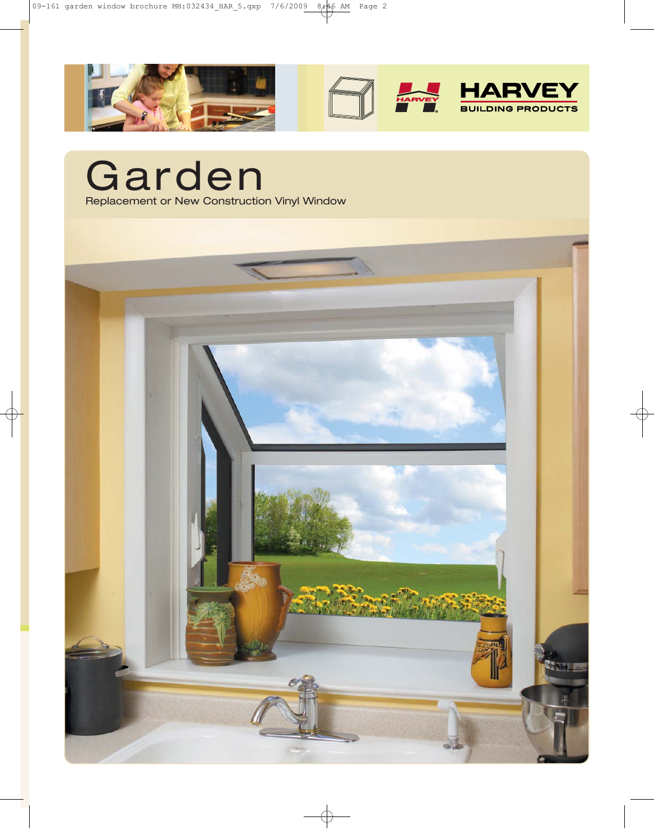

Garden Replacement or New Construction Vinyl Window

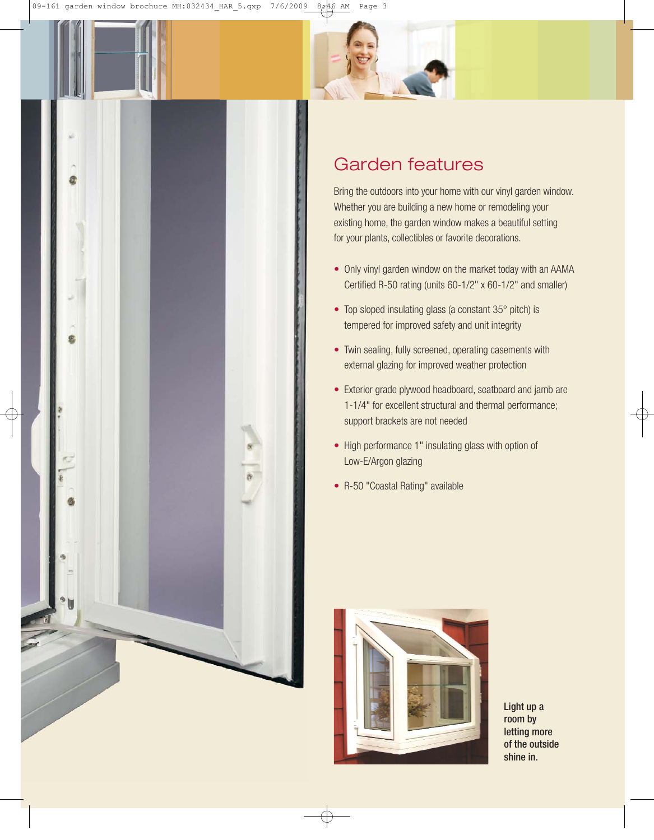



## Garden features

Bring the outdoors into your home with our vinyl garden window. Whether you are building a new home or remodeling your existing home, the garden window makes a beautiful setting for your plants, collectibles or favorite decorations.

- Only vinyl garden window on the market today with an AAMA Certified R-50 rating (units 60-1/2" x 60-1/2" and smaller)
- Top sloped insulating glass (a constant 35° pitch) is tempered for improved safety and unit integrity
- Twin sealing, fully screened, operating casements with external glazing for improved weather protection
- Exterior grade plywood headboard, seatboard and jamb are 1-1/4" for excellent structural and thermal performance; support brackets are not needed
- High performance 1" insulating glass with option of Low-E/Argon glazing
- R-50 "Coastal Rating" available



Light up a room by letting more of the outside shine in.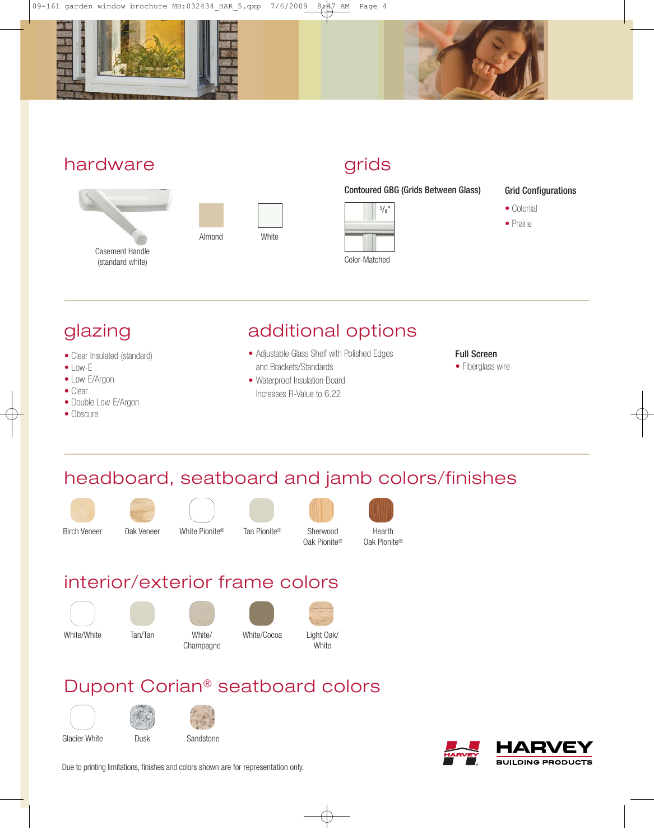



### hardware





# grids

Contoured GBG (Grids Between Glass)



#### Grid Configurations

- Colonial
- Prairie

# glazing

- Clear Insulated (standard)
- Low-E
- Low-E/Argon
- Clear
- Double Low-E/Argon
- Obscure

## additional options

- Adjustable Glass Shelf with Polished Edges and Brackets/Standards
- Waterproof Insulation Board Increases R-Value to 6.22

#### Full Screen

• Fiberglass wire

# headboard, seatboard and jamb colors/finishes











Sherwood Oak Pionite®



interior/exterior frame colors



## Dupont Corian ® seatboard colors





Due to printing limitations, finishes and colors shown are for representation only.